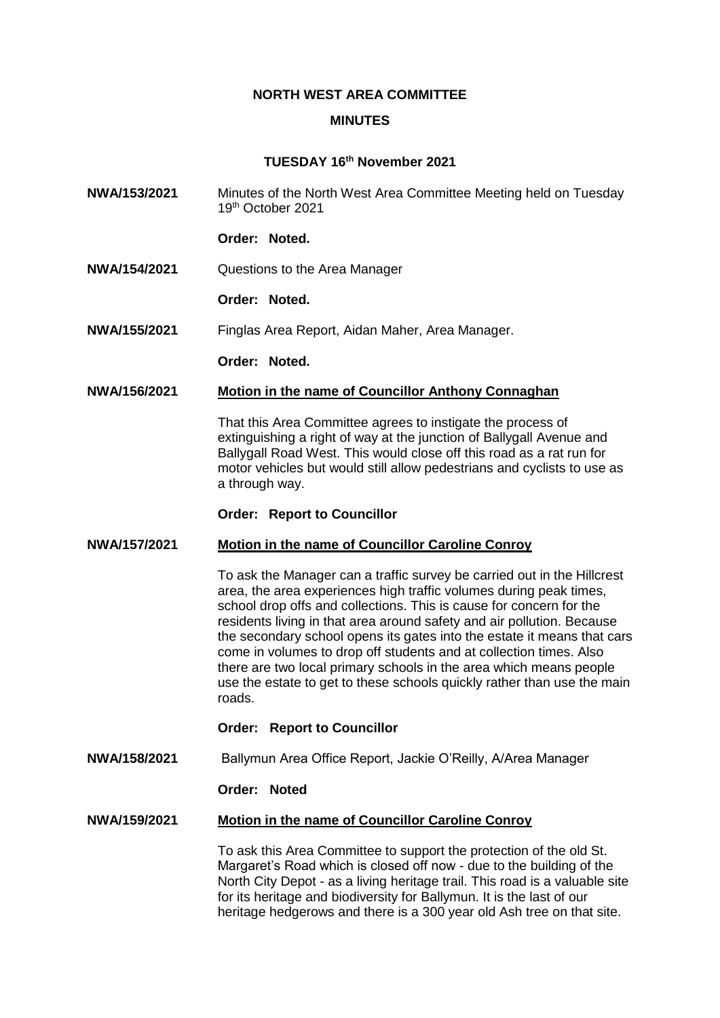# **NORTH WEST AREA COMMITTEE**

#### **MINUTES**

# **TUESDAY 16th November 2021**

- **NWA/153/2021** Minutes of the North West Area Committee Meeting held on Tuesday 19th October 2021
	- **Order: Noted.**
- **NWA/154/2021** Questions to the Area Manager
	- **Order: Noted.**
- **NWA/155/2021** Finglas Area Report, Aidan Maher, Area Manager.

**Order: Noted.**

# **NWA/156/2021 Motion in the name of Councillor Anthony Connaghan**

That this Area Committee agrees to instigate the process of extinguishing a right of way at the junction of Ballygall Avenue and Ballygall Road West. This would close off this road as a rat run for motor vehicles but would still allow pedestrians and cyclists to use as a through way.

#### **Order: Report to Councillor**

#### **NWA/157/2021 Motion in the name of Councillor Caroline Conroy**

To ask the Manager can a traffic survey be carried out in the Hillcrest area, the area experiences high traffic volumes during peak times, school drop offs and collections. This is cause for concern for the residents living in that area around safety and air pollution. Because the secondary school opens its gates into the estate it means that cars come in volumes to drop off students and at collection times. Also there are two local primary schools in the area which means people use the estate to get to these schools quickly rather than use the main roads.

#### **Order: Report to Councillor**

**NWA/158/2021** Ballymun Area Office Report, Jackie O'Reilly, A/Area Manager

# **Order: Noted**

# **NWA/159/2021 Motion in the name of Councillor Caroline Conroy**

To ask this Area Committee to support the protection of the old St. Margaret's Road which is closed off now - due to the building of the North City Depot - as a living heritage trail. This road is a valuable site for its heritage and biodiversity for Ballymun. It is the last of our heritage hedgerows and there is a 300 year old Ash tree on that site.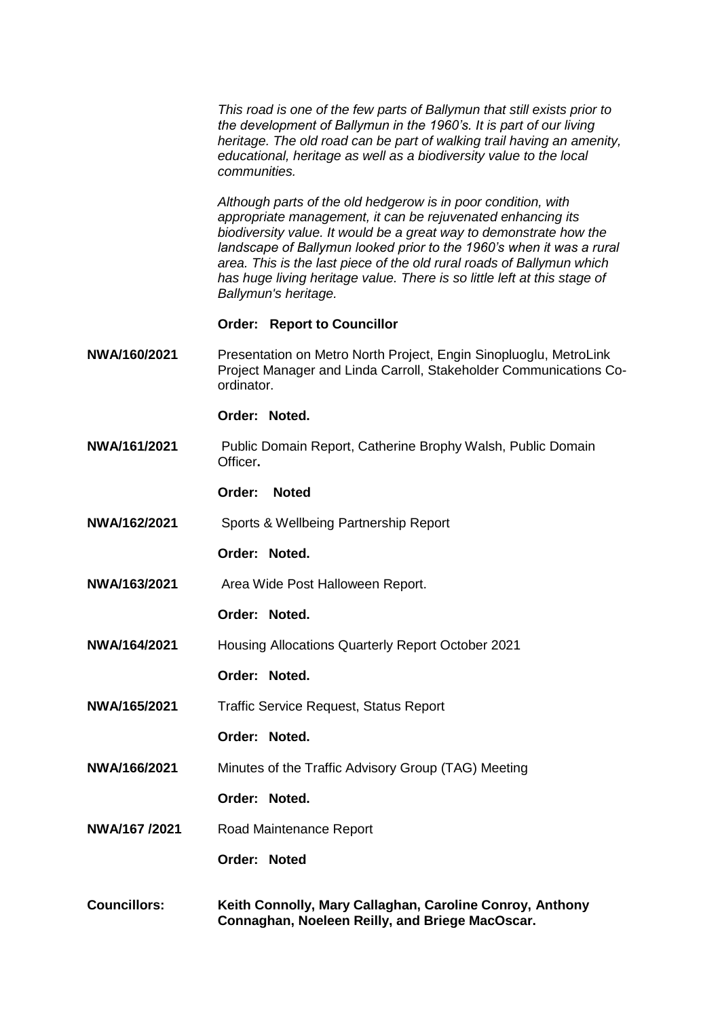*This road is one of the few parts of Ballymun that still exists prior to the development of Ballymun in the 1960's. It is part of our living heritage. The old road can be part of walking trail having an amenity, educational, heritage as well as a biodiversity value to the local communities.*

*Although parts of the old hedgerow is in poor condition, with appropriate management, it can be rejuvenated enhancing its biodiversity value. It would be a great way to demonstrate how the landscape of Ballymun looked prior to the 1960's when it was a rural area. This is the last piece of the old rural roads of Ballymun which has huge living heritage value. There is so little left at this stage of Ballymun's heritage.* 

#### **Order: Report to Councillor**

**NWA/160/2021** Presentation on Metro North Project, Engin Sinopluoglu, MetroLink Project Manager and Linda Carroll, Stakeholder Communications Coordinator.

**Order: Noted.**

- **NWA/161/2021** Public Domain Report, Catherine Brophy Walsh, Public Domain Officer**.**
	- **Order: Noted**
- **NWA/162/2021** Sports & Wellbeing Partnership Report
	- **Order: Noted.**
- **NWA/163/2021** Area Wide Post Halloween Report.
	- **Order: Noted.**
- **NWA/164/2021** Housing Allocations Quarterly Report October 2021
	- **Order: Noted.**
- **NWA/165/2021** Traffic Service Request, Status Report
	- **Order: Noted.**
- **NWA/166/2021** Minutes of the Traffic Advisory Group (TAG) Meeting
	- **Order: Noted.**
- **NWA/167 /2021** Road Maintenance Report

# **Order: Noted**

**Councillors: Keith Connolly, Mary Callaghan, Caroline Conroy, Anthony Connaghan, Noeleen Reilly, and Briege MacOscar.**